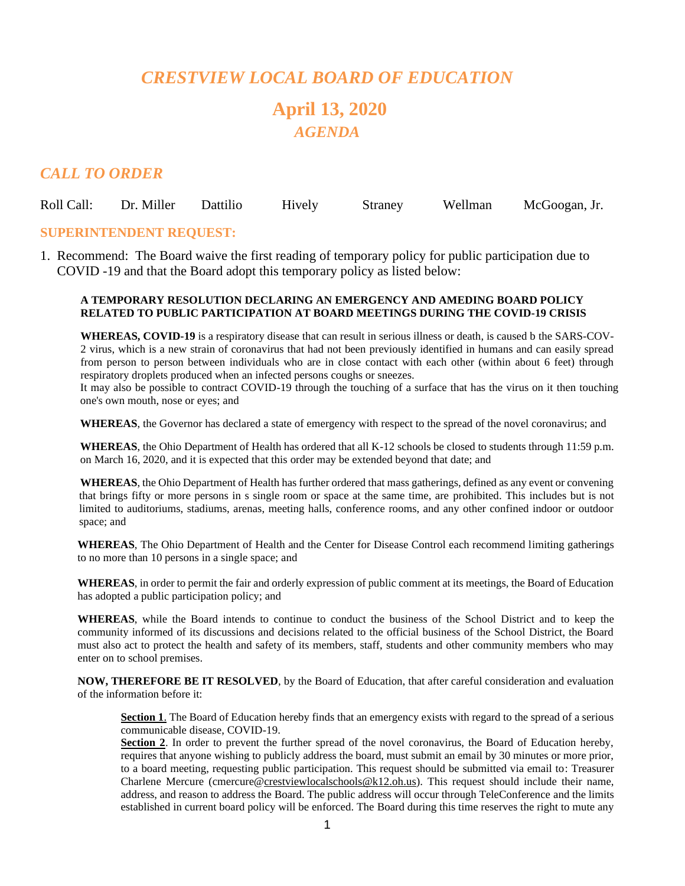## *CRESTVIEW LOCAL BOARD OF EDUCATION* **April 13, 2020** *AGENDA*

### *CALL TO ORDER*

| Roll Call: Dr. Miller Dattilio | Hively | Straney | Wellman McGoogan, Jr. |
|--------------------------------|--------|---------|-----------------------|
|                                |        |         |                       |

#### **SUPERINTENDENT REQUEST:**

1. Recommend: The Board waive the first reading of temporary policy for public participation due to COVID -19 and that the Board adopt this temporary policy as listed below:

#### **A TEMPORARY RESOLUTION DECLARING AN EMERGENCY AND AMEDING BOARD POLICY RELATED TO PUBLIC PARTICIPATION AT BOARD MEETINGS DURING THE COVID-19 CRISIS**

**WHEREAS, COVID-19** is a respiratory disease that can result in serious illness or death, is caused b the SARS-COV-2 virus, which is a new strain of coronavirus that had not been previously identified in humans and can easily spread from person to person between individuals who are in close contact with each other (within about 6 feet) through respiratory droplets produced when an infected persons coughs or sneezes.

It may also be possible to contract COVID-19 through the touching of a surface that has the virus on it then touching one's own mouth, nose or eyes; and

**WHEREAS**, the Governor has declared a state of emergency with respect to the spread of the novel coronavirus; and

**WHEREAS**, the Ohio Department of Health has ordered that all K-12 schools be closed to students through 11:59 p.m. on March 16, 2020, and it is expected that this order may be extended beyond that date; and

**WHEREAS**, the Ohio Department of Health has further ordered that mass gatherings, defined as any event or convening that brings fifty or more persons in s single room or space at the same time, are prohibited. This includes but is not limited to auditoriums, stadiums, arenas, meeting halls, conference rooms, and any other confined indoor or outdoor space; and

**WHEREAS**, The Ohio Department of Health and the Center for Disease Control each recommend limiting gatherings to no more than 10 persons in a single space; and

**WHEREAS**, in order to permit the fair and orderly expression of public comment at its meetings, the Board of Education has adopted a public participation policy; and

**WHEREAS**, while the Board intends to continue to conduct the business of the School District and to keep the community informed of its discussions and decisions related to the official business of the School District, the Board must also act to protect the health and safety of its members, staff, students and other community members who may enter on to school premises.

**NOW, THEREFORE BE IT RESOLVED**, by the Board of Education, that after careful consideration and evaluation of the information before it:

**Section 1**. The Board of Education hereby finds that an emergency exists with regard to the spread of a serious communicable disease, COVID-19.

Section 2. In order to prevent the further spread of the novel coronavirus, the Board of Education hereby, requires that anyone wishing to publicly address the board, must submit an email by 30 minutes or more prior, to a board meeting, requesting public participation. This request should be submitted via email to: Treasurer Charlene Mercure (cmercure[@crestviewlocalschools@k12.oh.us\)](mailto:crestviewlocalschools@k12.oh.us). This request should include their name, address, and reason to address the Board. The public address will occur through TeleConference and the limits established in current board policy will be enforced. The Board during this time reserves the right to mute any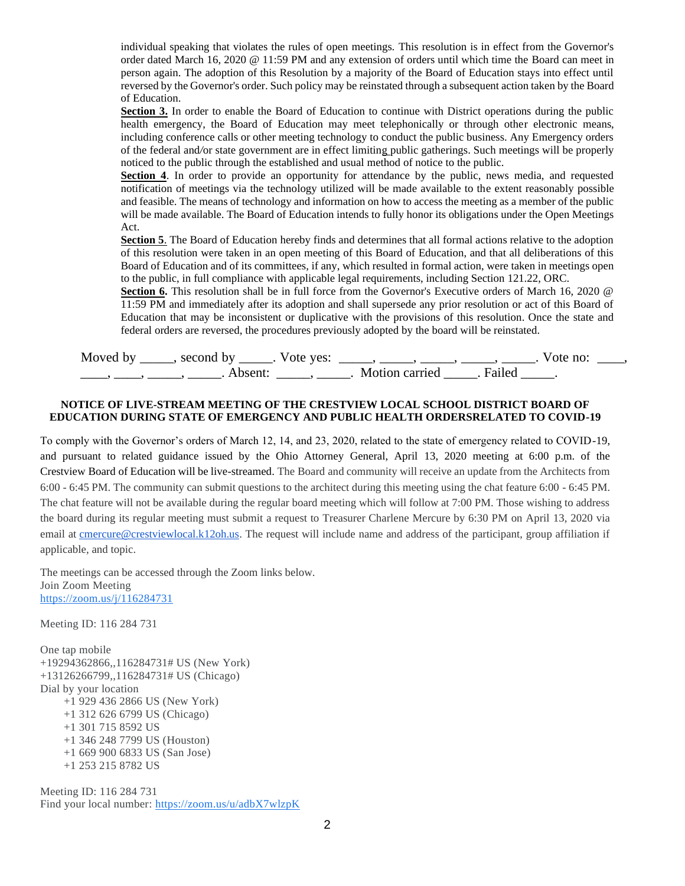individual speaking that violates the rules of open meetings. This resolution is in effect from the Governor's order dated March 16, 2020 @ 11:59 PM and any extension of orders until which time the Board can meet in person again. The adoption of this Resolution by a majority of the Board of Education stays into effect until reversed by the Governor's order. Such policy may be reinstated through a subsequent action taken by the Board of Education.

**Section 3.** In order to enable the Board of Education to continue with District operations during the public health emergency, the Board of Education may meet telephonically or through other electronic means, including conference calls or other meeting technology to conduct the public business. Any Emergency orders of the federal and*/*or state government are in effect limiting public gatherings. Such meetings will be properly noticed to the public through the established and usual method of notice to the public.

**Section 4**. In order to provide an opportunity for attendance by the public, news media, and requested notification of meetings via the technology utilized will be made available to the extent reasonably possible and feasible. The means of technology and information on how to access the meeting as a member of the public will be made available. The Board of Education intends to fully honor its obligations under the Open Meetings Act.

**Section 5**. The Board of Education hereby finds and determines that all formal actions relative to the adoption of this resolution were taken in an open meeting of this Board of Education, and that all deliberations of this Board of Education and of its committees, if any, which resulted in formal action, were taken in meetings open to the public, in full compliance with applicable legal requirements, including Section 121.22, ORC.

**Section 6.** This resolution shall be in full force from the Governor's Executive orders of March 16, 2020 @ 11:59 PM and immediately after its adoption and shall supersede any prior resolution or act of this Board of Education that may be inconsistent or duplicative with the provisions of this resolution. Once the state and federal orders are reversed, the procedures previously adopted by the board will be reinstated.

| Moved by ______, second by | . Vote yes: |                         | Vote no: |  |
|----------------------------|-------------|-------------------------|----------|--|
| Absent <sup>.</sup>        |             | Motion carried . Failed |          |  |

#### **NOTICE OF LIVE-STREAM MEETING OF THE CRESTVIEW LOCAL SCHOOL DISTRICT BOARD OF EDUCATION DURING STATE OF EMERGENCY AND PUBLIC HEALTH ORDERSRELATED TO COVID-19**

To comply with the Governor's orders of March 12, 14, and 23, 2020, related to the state of emergency related to COVID-19, and pursuant to related guidance issued by the Ohio Attorney General, April 13, 2020 meeting at 6:00 p.m. of the Crestview Board of Education will be live-streamed. The Board and community will receive an update from the Architects from 6:00 - 6:45 PM. The community can submit questions to the architect during this meeting using the chat feature 6:00 - 6:45 PM. The chat feature will not be available during the regular board meeting which will follow at 7:00 PM. Those wishing to address the board during its regular meeting must submit a request to Treasurer Charlene Mercure by 6:30 PM on April 13, 2020 via email at [cmercure@crestviewlocal.k12oh.us.](mailto:cmercure@crestviewlocal.k12oh.us) The request will include name and address of the participant, group affiliation if applicable, and topic.

The meetings can be accessed through the Zoom links below. Join Zoom Meeting [https://zoom.us/j/116284731](https://www.google.com/url?q=https://zoom.us/j/116284731&sa=D&ust=1586182177581000&usg=AOvVaw00_xghd1bI8XuLspeEGofe)

Meeting ID: 116 284 731

One tap mobile +19294362866,,116284731# US (New York) +13126266799,,116284731# US (Chicago) Dial by your location +1 929 436 2866 US (New York) +1 312 626 6799 US (Chicago) +1 301 715 8592 US +1 346 248 7799 US (Houston) +1 669 900 6833 US (San Jose) +1 253 215 8782 US

Meeting ID: 116 284 731 Find your local number: [https://zoom.us/u/adbX7wlzpK](https://www.google.com/url?q=https://zoom.us/u/adbX7wlzpK&sa=D&ust=1586182177581000&usg=AOvVaw0NAFImrGhlEwENSNsIBaqM)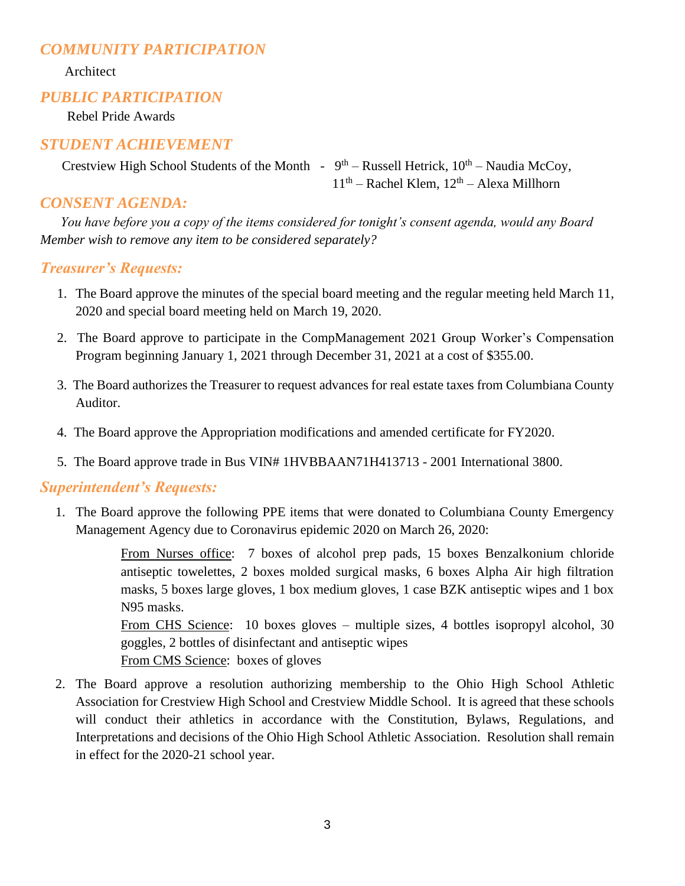## *COMMUNITY PARTICIPATION*

Architect

#### *PUBLIC PARTICIPATION*

Rebel Pride Awards

#### *STUDENT ACHIEVEMENT*

Crestview High School Students of the Month -  $9<sup>th</sup>$  – Russell Hetrick,  $10<sup>th</sup>$  – Naudia McCoy, 11<sup>th</sup> – Rachel Klem, 12<sup>th</sup> – Alexa Millhorn

#### *CONSENT AGENDA:*

 *You have before you a copy of the items considered for tonight's consent agenda, would any Board Member wish to remove any item to be considered separately?*

#### *Treasurer's Requests:*

- 1. The Board approve the minutes of the special board meeting and the regular meeting held March 11, 2020 and special board meeting held on March 19, 2020.
- 2. The Board approve to participate in the CompManagement 2021 Group Worker's Compensation Program beginning January 1, 2021 through December 31, 2021 at a cost of \$355.00.
- 3. The Board authorizes the Treasurer to request advances for real estate taxes from Columbiana County Auditor.
- 4. The Board approve the Appropriation modifications and amended certificate for FY2020.
- 5. The Board approve trade in Bus VIN# 1HVBBAAN71H413713 2001 International 3800.

#### *Superintendent's Requests:*

1. The Board approve the following PPE items that were donated to Columbiana County Emergency Management Agency due to Coronavirus epidemic 2020 on March 26, 2020:

> From Nurses office: 7 boxes of alcohol prep pads, 15 boxes Benzalkonium chloride antiseptic towelettes, 2 boxes molded surgical masks, 6 boxes Alpha Air high filtration masks, 5 boxes large gloves, 1 box medium gloves, 1 case BZK antiseptic wipes and 1 box N95 masks.

> From CHS Science: 10 boxes gloves – multiple sizes, 4 bottles isopropyl alcohol, 30 goggles, 2 bottles of disinfectant and antiseptic wipes From CMS Science: boxes of gloves

2. The Board approve a resolution authorizing membership to the Ohio High School Athletic Association for Crestview High School and Crestview Middle School. It is agreed that these schools will conduct their athletics in accordance with the Constitution, Bylaws, Regulations, and Interpretations and decisions of the Ohio High School Athletic Association. Resolution shall remain in effect for the 2020-21 school year.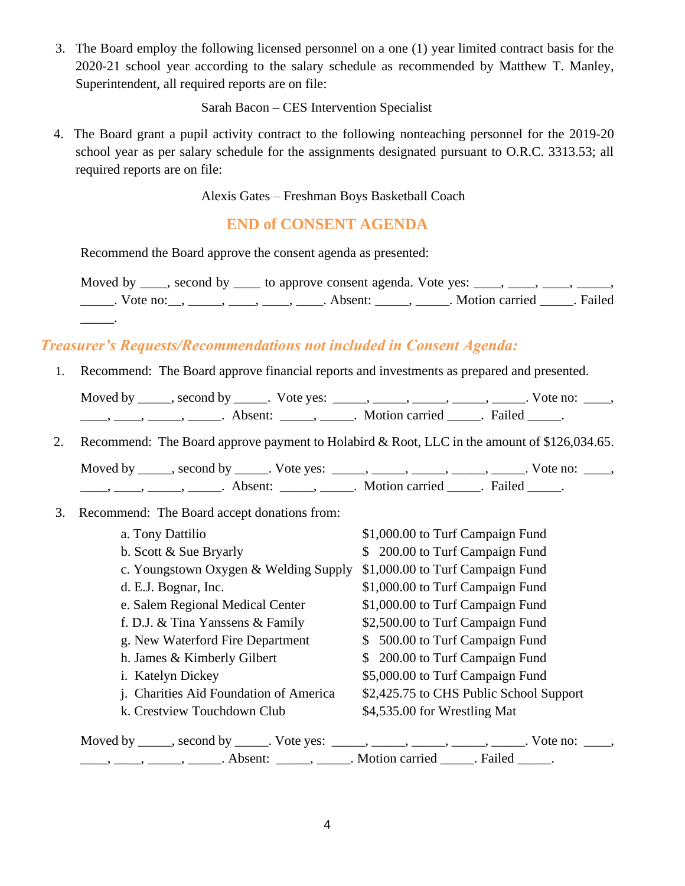3. The Board employ the following licensed personnel on a one (1) year limited contract basis for the 2020-21 school year according to the salary schedule as recommended by Matthew T. Manley, Superintendent, all required reports are on file:

Sarah Bacon – CES Intervention Specialist

 4. The Board grant a pupil activity contract to the following nonteaching personnel for the 2019-20 school year as per salary schedule for the assignments designated pursuant to O.R.C. 3313.53; all required reports are on file:

Alexis Gates – Freshman Boys Basketball Coach

## **END of CONSENT AGENDA**

Recommend the Board approve the consent agenda as presented:

Moved by  $\_\_\_\$ , second by  $\_\_\_\$ to approve consent agenda. Vote yes:  $\_\_\_\_\_\_\_\_\_\_\_\_\_\_$ \_\_\_\_\_\_. Vote no: \_\_, \_\_\_\_\_, \_\_\_\_\_, \_\_\_\_\_, Absent: \_\_\_\_\_, \_\_\_\_\_. Motion carried \_\_\_\_\_. Failed

## *Treasurer's Requests/Recommendations not included in Consent Agenda:*

1. Recommend: The Board approve financial reports and investments as prepared and presented.

| Moved by | , second by | Vote yes: |                |        | Vote no: |
|----------|-------------|-----------|----------------|--------|----------|
|          | Absent:     |           | Motion carried | Failed |          |

2. Recommend: The Board approve payment to Holabird & Root, LLC in the amount of \$126,034.65.

Moved by \_\_\_\_\_, second by \_\_\_\_\_. Vote yes: \_\_\_\_\_, \_\_\_\_\_, \_\_\_\_\_, \_\_\_\_\_, \_\_\_\_\_. Vote no: \_\_\_\_, \_\_\_\_\_, \_\_\_\_\_, \_\_\_\_\_\_\_. Absent: \_\_\_\_\_\_, \_\_\_\_\_\_. Motion carried \_\_\_\_\_. Failed \_\_\_\_\_.

3. Recommend: The Board accept donations from:

\_\_\_\_\_.

| a. Tony Dattilio                                                                               | \$1,000.00 to Turf Campaign Fund        |
|------------------------------------------------------------------------------------------------|-----------------------------------------|
| b. Scott & Sue Bryarly                                                                         | \$ 200.00 to Turf Campaign Fund         |
| c. Youngstown Oxygen & Welding Supply                                                          | \$1,000.00 to Turf Campaign Fund        |
| d. E.J. Bognar, Inc.                                                                           | \$1,000.00 to Turf Campaign Fund        |
| e. Salem Regional Medical Center                                                               | \$1,000.00 to Turf Campaign Fund        |
| f. D.J. & Tina Yanssens & Family                                                               | \$2,500.00 to Turf Campaign Fund        |
| g. New Waterford Fire Department                                                               | \$ 500.00 to Turf Campaign Fund         |
| h. James & Kimberly Gilbert                                                                    | \$ 200.00 to Turf Campaign Fund         |
| i. Katelyn Dickey                                                                              | \$5,000.00 to Turf Campaign Fund        |
| j. Charities Aid Foundation of America                                                         | \$2,425.75 to CHS Public School Support |
| k. Crestview Touchdown Club                                                                    | \$4,535.00 for Wrestling Mat            |
| Moved by _____, second by ______. Vote yes: _____, _____, _____, _____, _____. Vote no: _____, |                                         |
| $\dots, \dots, \dots, \dots$ Absent: $\dots, \dots$ Motion carried $\dots$ . Failed $\dots$ .  |                                         |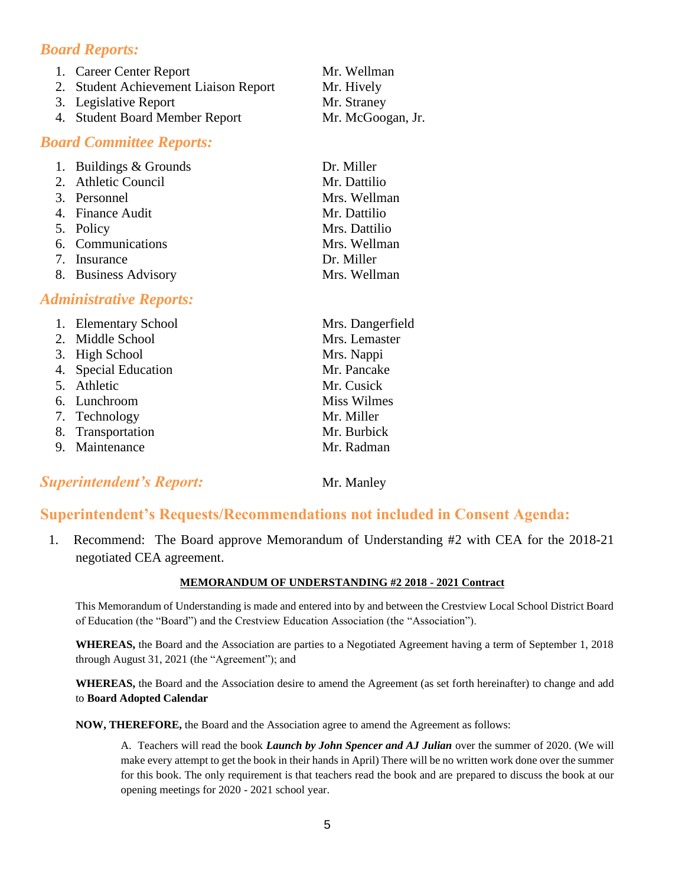## *Board Reports:*

| 1. Career Center Report               | Mr. Wellman       |
|---------------------------------------|-------------------|
| 2. Student Achievement Liaison Report | Mr. Hively        |
| 3. Legislative Report                 | Mr. Straney       |
| 4. Student Board Member Report        | Mr. McGoogan, Jr. |
|                                       |                   |

#### *Board Committee Reports:*

| 1. Buildings & Grounds | Dr. Miller    |
|------------------------|---------------|
| 2. Athletic Council    | Mr. Dattilio  |
| 3. Personnel           | Mrs. Wellman  |
| 4. Finance Audit       | Mr. Dattilio  |
| 5. Policy              | Mrs. Dattilio |
| 6. Communications      | Mrs. Wellman  |
| 7. Insurance           | Dr. Miller    |
| 8. Business Advisory   | Mrs. Wellman  |

#### *Administrative Reports:*

| 1. Elementary School | Mrs. Dangerfield   |
|----------------------|--------------------|
| 2. Middle School     | Mrs. Lemaster      |
| 3. High School       | Mrs. Nappi         |
| 4. Special Education | Mr. Pancake        |
| 5. Athletic          | Mr. Cusick         |
| 6. Lunchroom         | <b>Miss Wilmes</b> |
| 7. Technology        | Mr. Miller         |
| 8. Transportation    | Mr. Burbick        |
| 9. Maintenance       | Mr. Radman         |

## **Superintendent's Report:** Mr. Manley

#### **Superintendent's Requests/Recommendations not included in Consent Agenda:**

 1. Recommend: The Board approve Memorandum of Understanding #2 with CEA for the 2018-21 negotiated CEA agreement.

#### **MEMORANDUM OF UNDERSTANDING #2 2018 - 2021 Contract**

This Memorandum of Understanding is made and entered into by and between the Crestview Local School District Board of Education (the "Board") and the Crestview Education Association (the "Association").

**WHEREAS,** the Board and the Association are parties to a Negotiated Agreement having a term of September 1, 2018 through August 31, 2021 (the "Agreement"); and

**WHEREAS,** the Board and the Association desire to amend the Agreement (as set forth hereinafter) to change and add to **Board Adopted Calendar**

**NOW, THEREFORE,** the Board and the Association agree to amend the Agreement as follows:

A. Teachers will read the book *Launch by John Spencer and AJ Julian* over the summer of 2020. (We will make every attempt to get the book in their hands in April) There will be no written work done over the summer for this book. The only requirement is that teachers read the book and are prepared to discuss the book at our opening meetings for 2020 - 2021 school year.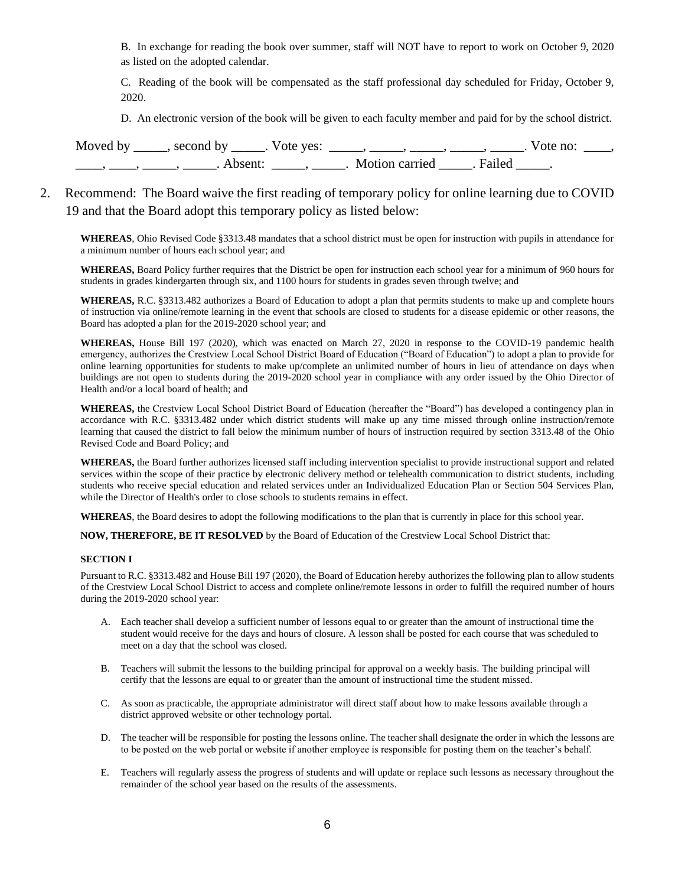B. In exchange for reading the book over summer, staff will NOT have to report to work on October 9, 2020 as listed on the adopted calendar.

C. Reading of the book will be compensated as the staff professional day scheduled for Friday, October 9, 2020.

D. An electronic version of the book will be given to each faculty member and paid for by the school district.

| Moved by second by . Vote yes: | $\overline{\phantom{a}}$ , $\overline{\phantom{a}}$ , $\overline{\phantom{a}}$ , $\overline{\phantom{a}}$ , $\overline{\phantom{a}}$ , $\overline{\phantom{a}}$ , $\overline{\phantom{a}}$ , $\overline{\phantom{a}}$ , $\overline{\phantom{a}}$ , $\overline{\phantom{a}}$ , $\overline{\phantom{a}}$ , $\overline{\phantom{a}}$ , $\overline{\phantom{a}}$ , $\overline{\phantom{a}}$ , $\overline{\phantom{a}}$ , $\overline{\phantom{a}}$ , $\overline{\phantom{a}}$ , | Vote no: |  |
|--------------------------------|----------------------------------------------------------------------------------------------------------------------------------------------------------------------------------------------------------------------------------------------------------------------------------------------------------------------------------------------------------------------------------------------------------------------------------------------------------------------------|----------|--|
| Absent <sup>.</sup>            | . Motion carried . Failed                                                                                                                                                                                                                                                                                                                                                                                                                                                  |          |  |

#### 2. Recommend: The Board waive the first reading of temporary policy for online learning due to COVID 19 and that the Board adopt this temporary policy as listed below:

**WHEREAS**, Ohio Revised Code §3313.48 mandates that a school district must be open for instruction with pupils in attendance for a minimum number of hours each school year; and

**WHEREAS,** Board Policy further requires that the District be open for instruction each school year for a minimum of 960 hours for students in grades kindergarten through six, and 1100 hours for students in grades seven through twelve; and

**WHEREAS,** R.C. §3313.482 authorizes a Board of Education to adopt a plan that permits students to make up and complete hours of instruction via online/remote learning in the event that schools are closed to students for a disease epidemic or other reasons, the Board has adopted a plan for the 2019-2020 school year; and

**WHEREAS,** House Bill 197 (2020), which was enacted on March 27, 2020 in response to the COVID-19 pandemic health emergency, authorizes the Crestview Local School District Board of Education ("Board of Education") to adopt a plan to provide for online learning opportunities for students to make up/complete an unlimited number of hours in lieu of attendance on days when buildings are not open to students during the 2019-2020 school year in compliance with any order issued by the Ohio Director of Health and/or a local board of health; and

**WHEREAS,** the Crestview Local School District Board of Education (hereafter the "Board") has developed a contingency plan in accordance with R.C. §3313.482 under which district students will make up any time missed through online instruction/remote learning that caused the district to fall below the minimum number of hours of instruction required by section 3313.48 of the Ohio Revised Code and Board Policy; and

**WHEREAS,** the Board further authorizes licensed staff including intervention specialist to provide instructional support and related services within the scope of their practice by electronic delivery method or telehealth communication to district students, including students who receive special education and related services under an Individualized Education Plan or Section 504 Services Plan, while the Director of Health's order to close schools to students remains in effect.

**WHEREAS**, the Board desires to adopt the following modifications to the plan that is currently in place for this school year.

**NOW, THEREFORE, BE IT RESOLVED** by the Board of Education of the Crestview Local School District that:

#### **SECTION I**

Pursuant to R.C. §3313.482 and House Bill 197 (2020), the Board of Education hereby authorizes the following plan to allow students of the Crestview Local School District to access and complete online/remote lessons in order to fulfill the required number of hours during the 2019-2020 school year:

- A. Each teacher shall develop a sufficient number of lessons equal to or greater than the amount of instructional time the student would receive for the days and hours of closure. A lesson shall be posted for each course that was scheduled to meet on a day that the school was closed.
- B. Teachers will submit the lessons to the building principal for approval on a weekly basis. The building principal will certify that the lessons are equal to or greater than the amount of instructional time the student missed.
- C. As soon as practicable, the appropriate administrator will direct staff about how to make lessons available through a district approved website or other technology portal.
- D. The teacher will be responsible for posting the lessons online. The teacher shall designate the order in which the lessons are to be posted on the web portal or website if another employee is responsible for posting them on the teacher's behalf.
- E. Teachers will regularly assess the progress of students and will update or replace such lessons as necessary throughout the remainder of the school year based on the results of the assessments.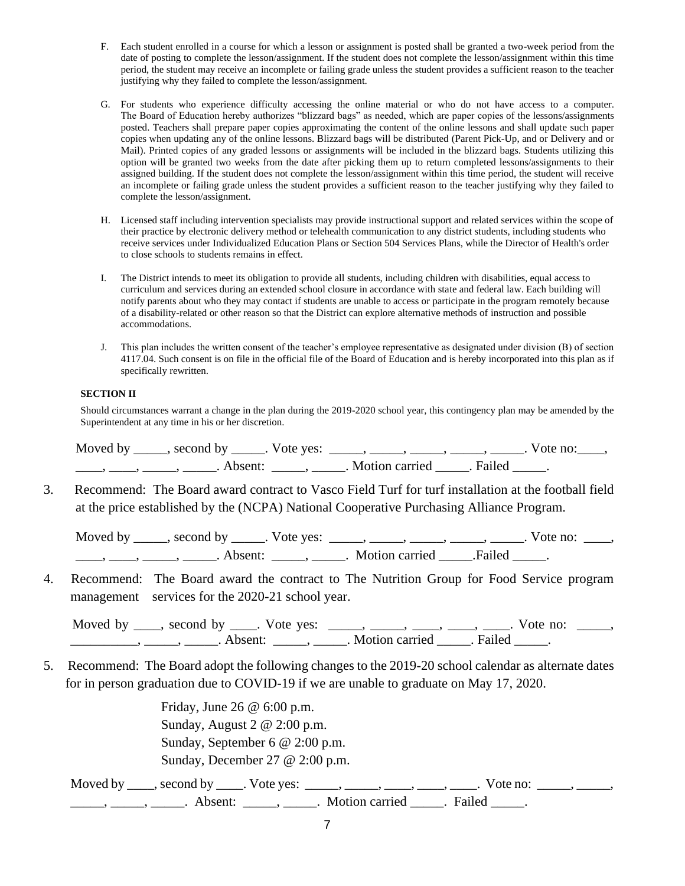- F. Each student enrolled in a course for which a lesson or assignment is posted shall be granted a two-week period from the date of posting to complete the lesson/assignment. If the student does not complete the lesson/assignment within this time period, the student may receive an incomplete or failing grade unless the student provides a sufficient reason to the teacher justifying why they failed to complete the lesson/assignment.
- G. For students who experience difficulty accessing the online material or who do not have access to a computer. The Board of Education hereby authorizes "blizzard bags" as needed, which are paper copies of the lessons/assignments posted. Teachers shall prepare paper copies approximating the content of the online lessons and shall update such paper copies when updating any of the online lessons. Blizzard bags will be distributed (Parent Pick-Up, and or Delivery and or Mail). Printed copies of any graded lessons or assignments will be included in the blizzard bags. Students utilizing this option will be granted two weeks from the date after picking them up to return completed lessons/assignments to their assigned building. If the student does not complete the lesson/assignment within this time period, the student will receive an incomplete or failing grade unless the student provides a sufficient reason to the teacher justifying why they failed to complete the lesson/assignment.
- H. Licensed staff including intervention specialists may provide instructional support and related services within the scope of their practice by electronic delivery method or telehealth communication to any district students, including students who receive services under Individualized Education Plans or Section 504 Services Plans, while the Director of Health's order to close schools to students remains in effect.
- I. The District intends to meet its obligation to provide all students, including children with disabilities, equal access to curriculum and services during an extended school closure in accordance with state and federal law. Each building will notify parents about who they may contact if students are unable to access or participate in the program remotely because of a disability-related or other reason so that the District can explore alternative methods of instruction and possible accommodations.
- J. This plan includes the written consent of the teacher's employee representative as designated under division (B) of section 4117.04. Such consent is on file in the official file of the Board of Education and is hereby incorporated into this plan as if specifically rewritten.

#### **SECTION II**

Should circumstances warrant a change in the plan during the 2019-2020 school year, this contingency plan may be amended by the Superintendent at any time in his or her discretion.

| Moved by | second by           | Vote yes: |                |        | Vote no: |
|----------|---------------------|-----------|----------------|--------|----------|
|          | Absent <sup>.</sup> |           | Motion carried | Failed |          |

3. Recommend: The Board award contract to Vasco Field Turf for turf installation at the football field at the price established by the (NCPA) National Cooperative Purchasing Alliance Program.

Moved by \_\_\_\_\_, second by \_\_\_\_\_. Vote yes: \_\_\_\_\_, \_\_\_\_\_, \_\_\_\_\_, \_\_\_\_\_, \_\_\_\_\_. Vote no: \_\_\_\_, ——, ——, ——, ——, Absent: \_\_\_\_, ——, Motion carried \_\_\_\_. Failed \_\_\_\_.

4. Recommend: The Board award the contract to The Nutrition Group for Food Service program management services for the 2020-21 school year.

Moved by \_\_\_\_, second by \_\_\_\_. Vote yes: \_\_\_\_\_, \_\_\_\_, \_\_\_\_, \_\_\_\_, \_\_\_\_. Vote no: \_\_\_\_\_, \_\_\_\_\_\_\_\_\_\_, \_\_\_\_\_, \_\_\_\_\_. Absent: \_\_\_\_\_, \_\_\_\_\_. Motion carried \_\_\_\_\_. Failed \_\_\_\_\_.

5. Recommend: The Board adopt the following changes to the 2019-20 school calendar as alternate dates for in person graduation due to COVID-19 if we are unable to graduate on May 17, 2020.

> Friday, June 26 @ 6:00 p.m. Sunday, August 2 @ 2:00 p.m. Sunday, September 6 @ 2:00 p.m. Sunday, December 27 @ 2:00 p.m.

Moved by \_\_\_\_, second by \_\_\_\_. Vote yes: \_\_\_\_\_, \_\_\_\_, \_\_\_\_, \_\_\_\_, \_\_\_\_. Vote no: \_\_\_\_\_, \_\_\_\_\_,  $\frac{1}{\sqrt{2}}$ ,  $\frac{1}{\sqrt{2}}$ ,  $\frac{1}{\sqrt{2}}$ ,  $\frac{1}{\sqrt{2}}$ ,  $\frac{1}{\sqrt{2}}$ ,  $\frac{1}{\sqrt{2}}$ ,  $\frac{1}{\sqrt{2}}$ ,  $\frac{1}{\sqrt{2}}$ ,  $\frac{1}{\sqrt{2}}$ ,  $\frac{1}{\sqrt{2}}$ ,  $\frac{1}{\sqrt{2}}$ ,  $\frac{1}{\sqrt{2}}$ ,  $\frac{1}{\sqrt{2}}$ ,  $\frac{1}{\sqrt{2}}$ ,  $\frac{1}{\sqrt{2}}$ ,  $\frac{1}{\sqrt{2}}$